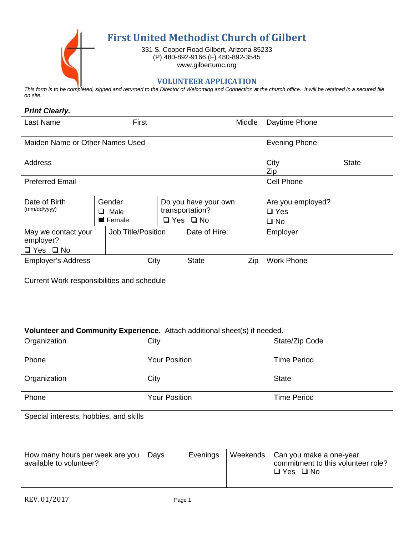

This form is to be completed, signed and returned to the Director of Welcoming and Connection at the church office. It will be retained in a secured file *on site.*

## *Print Clearly.*

| <b>Last Name</b>                                                          | First                           |                      |                                                                 | Middle   | Daytime Phone                                                                         |  |
|---------------------------------------------------------------------------|---------------------------------|----------------------|-----------------------------------------------------------------|----------|---------------------------------------------------------------------------------------|--|
| Maiden Name or Other Names Used                                           |                                 |                      |                                                                 |          | <b>Evening Phone</b>                                                                  |  |
| <b>Address</b>                                                            |                                 |                      |                                                                 |          | City<br><b>State</b><br>Zip                                                           |  |
| <b>Preferred Email</b>                                                    |                                 |                      |                                                                 |          | <b>Cell Phone</b>                                                                     |  |
| Date of Birth<br>(mm/dd/yyyy)                                             | Gender<br>$\Box$ Male<br>Female |                      | Do you have your own<br>transportation?<br>$\Box$ Yes $\Box$ No |          | Are you employed?<br>$\Box$ Yes<br>$\square$ No                                       |  |
| May we contact your<br>employer?<br>$\Box$ Yes $\Box$ No                  | Job Title/Position              |                      | Date of Hire:                                                   |          | Employer                                                                              |  |
| <b>Employer's Address</b>                                                 |                                 | City                 | <b>State</b>                                                    | Zip      | <b>Work Phone</b>                                                                     |  |
| Current Work responsibilities and schedule                                |                                 |                      |                                                                 |          |                                                                                       |  |
| Volunteer and Community Experience. Attach additional sheet(s) if needed. |                                 |                      |                                                                 |          |                                                                                       |  |
| Organization                                                              |                                 | City                 |                                                                 |          | State/Zip Code                                                                        |  |
| Phone                                                                     |                                 | <b>Your Position</b> |                                                                 |          | <b>Time Period</b>                                                                    |  |
| Organization                                                              |                                 | City                 |                                                                 |          | <b>State</b>                                                                          |  |
| Phone                                                                     |                                 | <b>Your Position</b> |                                                                 |          | <b>Time Period</b>                                                                    |  |
| Special interests, hobbies, and skills                                    |                                 |                      |                                                                 |          |                                                                                       |  |
| How many hours per week are you<br>available to volunteer?                |                                 | Days                 | Evenings                                                        | Weekends | Can you make a one-year<br>commitment to this volunteer role?<br>$\Box$ Yes $\Box$ No |  |